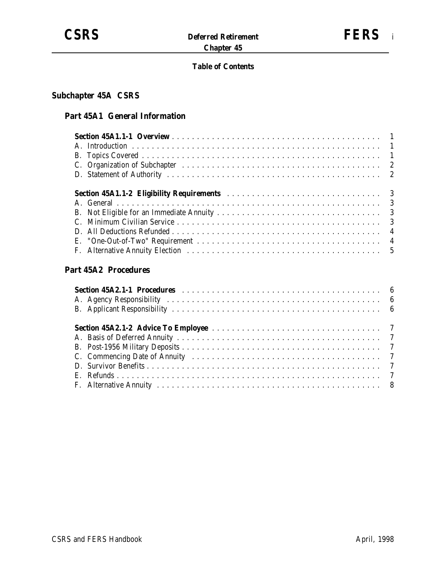

# **Table of Contents**

# **Subchapter 45A CSRS**

# **Part 45A1 General Information**

# **Part 45A2 Procedures**

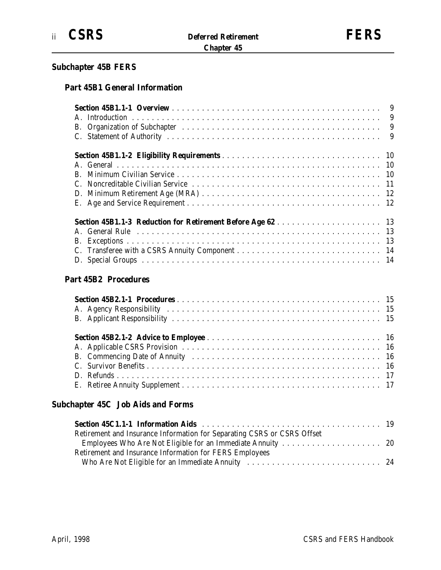

# **Subchapter 45B FERS**

# **Part 45B1 General Information**

# **Part 45B2 Procedures**

# **Subchapter 45C Job Aids and Forms**

| Retirement and Insurance Information for Separating CSRS or CSRS Offset |  |
|-------------------------------------------------------------------------|--|
|                                                                         |  |
| Retirement and Insurance Information for FERS Employees                 |  |
| Who Are Not Eligible for an Immediate Annuity  24                       |  |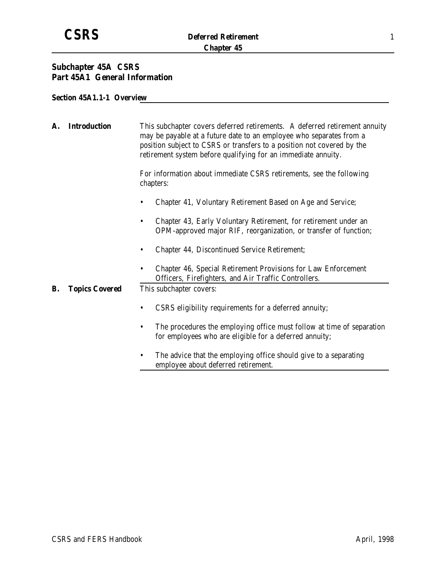# **Subchapter 45A CSRS Part 45A1 General Information**

# **Section 45A1.1-1 Overview**

| А.        | <b>Introduction</b>   | This subchapter covers deferred retirements. A deferred retirement annuity<br>may be payable at a future date to an employee who separates from a<br>position subject to CSRS or transfers to a position not covered by the<br>retirement system before qualifying for an immediate annuity. |  |  |  |
|-----------|-----------------------|----------------------------------------------------------------------------------------------------------------------------------------------------------------------------------------------------------------------------------------------------------------------------------------------|--|--|--|
|           |                       | For information about immediate CSRS retirements, see the following<br>chapters:                                                                                                                                                                                                             |  |  |  |
|           |                       | Chapter 41, Voluntary Retirement Based on Age and Service;<br>٠                                                                                                                                                                                                                              |  |  |  |
|           |                       | Chapter 43, Early Voluntary Retirement, for retirement under an<br>$\bullet$<br>OPM-approved major RIF, reorganization, or transfer of function;                                                                                                                                             |  |  |  |
|           |                       | <b>Chapter 44, Discontinued Service Retirement;</b><br>$\bullet$                                                                                                                                                                                                                             |  |  |  |
|           |                       | Chapter 46, Special Retirement Provisions for Law Enforcement<br>Officers, Firefighters, and Air Traffic Controllers.                                                                                                                                                                        |  |  |  |
| <b>B.</b> | <b>Topics Covered</b> | This subchapter covers:                                                                                                                                                                                                                                                                      |  |  |  |
|           |                       | CSRS eligibility requirements for a deferred annuity;<br>$\bullet$                                                                                                                                                                                                                           |  |  |  |
|           |                       | The procedures the employing office must follow at time of separation<br>٠<br>for employees who are eligible for a deferred annuity;                                                                                                                                                         |  |  |  |
|           |                       | The advice that the employing office should give to a separating                                                                                                                                                                                                                             |  |  |  |

employee about deferred retirement.

CSRS and FERS Handbook **April**, 1998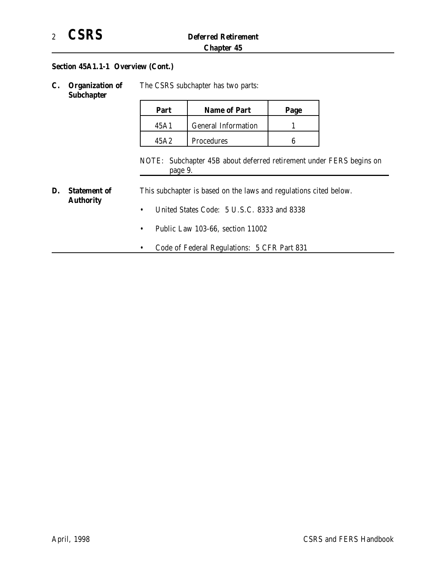

# **Section 45A1.1-1 Overview (Cont.)**

| C. | The CSRS subchapter has two parts:<br>Organization of<br><b>Subchapter</b> |             |                                                                                                                                          |      |  |
|----|----------------------------------------------------------------------------|-------------|------------------------------------------------------------------------------------------------------------------------------------------|------|--|
|    |                                                                            | <b>Part</b> | <b>Name of Part</b>                                                                                                                      | Page |  |
|    |                                                                            | 45A1        | <b>General Information</b>                                                                                                               | 1    |  |
|    |                                                                            | 45A2        | Procedures                                                                                                                               | 6    |  |
| D. | <b>Statement of</b>                                                        | page 9.     | NOTE: Subchapter 45B about deferred retirement under FERS begins on<br>This subchapter is based on the laws and regulations cited below. |      |  |
|    | <b>Authority</b>                                                           | ٠<br>٠      | United States Code: 5 U.S.C. 8333 and 8338<br>Public Law 103-66, section 11002                                                           |      |  |
|    |                                                                            | ٠           | Code of Federal Regulations: 5 CFR Part 831                                                                                              |      |  |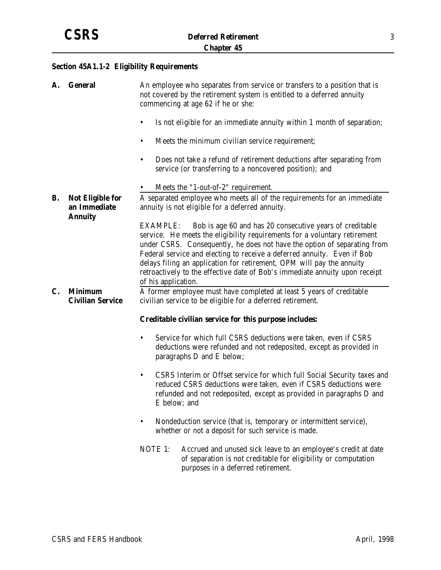# **Section 45A1.1-2 Eligibility Requirements**

| A.             | <b>General</b>                                            | An employee who separates from service or transfers to a position that is<br>not covered by the retirement system is entitled to a deferred annuity<br>commencing at age 62 if he or she:                                                                                                                                                                                                                                                                                                      |
|----------------|-----------------------------------------------------------|------------------------------------------------------------------------------------------------------------------------------------------------------------------------------------------------------------------------------------------------------------------------------------------------------------------------------------------------------------------------------------------------------------------------------------------------------------------------------------------------|
|                |                                                           | Is not eligible for an immediate annuity within 1 month of separation;<br>٠                                                                                                                                                                                                                                                                                                                                                                                                                    |
|                |                                                           | Meets the minimum civilian service requirement;<br>٠                                                                                                                                                                                                                                                                                                                                                                                                                                           |
|                |                                                           | Does not take a refund of retirement deductions after separating from<br>٠<br>service (or transferring to a noncovered position); and                                                                                                                                                                                                                                                                                                                                                          |
|                |                                                           | Meets the "1-out-of-2" requirement.                                                                                                                                                                                                                                                                                                                                                                                                                                                            |
| <b>B.</b>      | <b>Not Eligible for</b><br>an Immediate<br><b>Annuity</b> | A separated employee who meets all of the requirements for an immediate<br>annuity is not eligible for a deferred annuity.                                                                                                                                                                                                                                                                                                                                                                     |
|                |                                                           | <b>EXAMPLE:</b><br>Bob is age 60 and has 20 consecutive years of creditable<br>service. He meets the eligibility requirements for a voluntary retirement<br>under CSRS. Consequently, he does not have the option of separating from<br>Federal service and electing to receive a deferred annuity. Even if Bob<br>delays filing an application for retirement, OPM will pay the annuity<br>retroactively to the effective date of Bob's immediate annuity upon receipt<br>of his application. |
| $\mathbf{C}$ . | <b>Minimum</b><br><b>Civilian Service</b>                 | A former employee must have completed at least 5 years of creditable<br>civilian service to be eligible for a deferred retirement.                                                                                                                                                                                                                                                                                                                                                             |
|                |                                                           | Creditable civilian service for this purpose includes:                                                                                                                                                                                                                                                                                                                                                                                                                                         |
|                |                                                           | Service for which full CSRS deductions were taken, even if CSRS<br>٠<br>deductions were refunded and not redeposited, except as provided in<br>paragraphs D and E below;                                                                                                                                                                                                                                                                                                                       |
|                |                                                           | CSRS Interim or Offset service for which full Social Security taxes and<br>$\bullet$<br>reduced CSRS deductions were taken, even if CSRS deductions were<br>refunded and not redeposited, except as provided in paragraphs D and<br>E below; and                                                                                                                                                                                                                                               |
|                |                                                           | Nondeduction service (that is, temporary or intermittent service),<br>whether or not a deposit for such service is made.                                                                                                                                                                                                                                                                                                                                                                       |
|                |                                                           | NOTE 1:<br>Accrued and unused sick leave to an employee's credit at date<br>of separation is not creditable for eligibility or computation<br>purposes in a deferred retirement.                                                                                                                                                                                                                                                                                                               |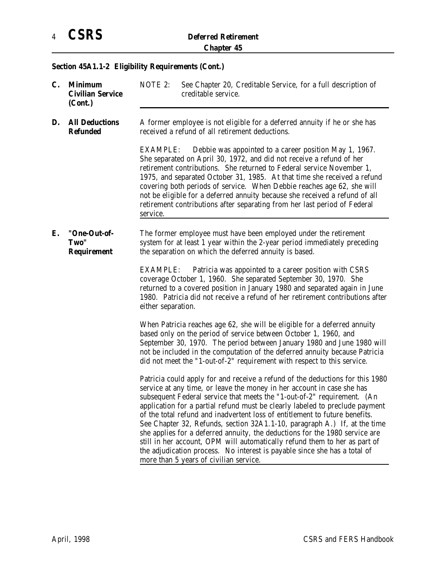#### **Section 45A1.1-2 Eligibility Requirements (Cont.)**

| С. | Minimum                 | NOTE 2: | See Chapter 20, Creditable Service, for a full description of |
|----|-------------------------|---------|---------------------------------------------------------------|
|    | <b>Civilian Service</b> |         | creditable service.                                           |
|    | (Cont.)                 |         |                                                               |

**D. All Deductions Refunded**  A former employee is not eligible for a deferred annuity if he or she has received a refund of all retirement deductions.

> EXAMPLE: Debbie was appointed to a career position May 1, 1967. She separated on April 30, 1972, and did not receive a refund of her retirement contributions. She returned to Federal service November 1, 1975, and separated October 31, 1985. At that time she received a refund covering both periods of service. When Debbie reaches age 62, she will not be eligible for a deferred annuity because she received a refund of all retirement contributions after separating from her last period of Federal service.

**E. "One-Out-of-Two" Requirement**  The former employee must have been employed under the retirement system for at least 1 year within the 2-year period immediately preceding the separation on which the deferred annuity is based.

> EXAMPLE: Patricia was appointed to a career position with CSRS coverage October 1, 1960. She separated September 30, 1970. She returned to a covered position in January 1980 and separated again in June 1980. Patricia did not receive a refund of her retirement contributions after either separation.

> When Patricia reaches age 62, she will be eligible for a deferred annuity based only on the period of service between October 1, 1960, and September 30, 1970. The period between January 1980 and June 1980 will not be included in the computation of the deferred annuity because Patricia did not meet the "1-out-of-2" requirement with respect to this service.

> Patricia could apply for and receive a refund of the deductions for this 1980 service at any time, or leave the money in her account in case she has subsequent Federal service that meets the "1-out-of-2" requirement. (An application for a partial refund must be clearly labeled to preclude payment of the total refund and inadvertent loss of entitlement to future benefits. See Chapter 32, Refunds, section 32A1.1-10, paragraph A.) If, at the time she applies for a deferred annuity, the deductions for the 1980 service are still in her account, OPM will automatically refund them to her as part of the adjudication process. No interest is payable since she has a total of more than 5 years of civilian service.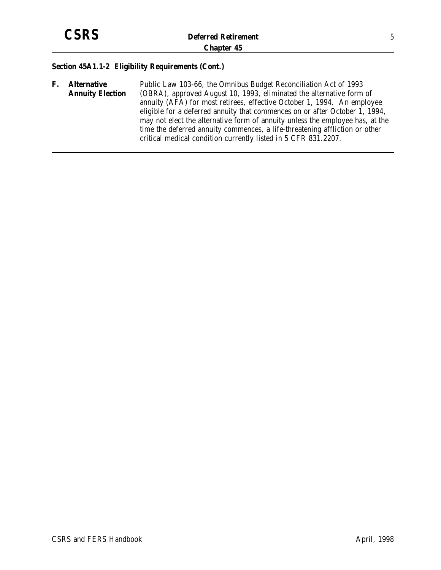## **Section 45A1.1-2 Eligibility Requirements (Cont.)**

**F.** Alternative Public Law 103-66, the Omnibus Budget Reconciliation Act of 1993 **Annuity Election** (OBRA), approved August 10, 1993, eliminated the alternative form of annuity (AFA) for most retirees, effective October 1, 1994. An employee eligible for a deferred annuity that commences on or after October 1, 1994, may not elect the alternative form of annuity unless the employee has, at the time the deferred annuity commences, a life-threatening affliction or other critical medical condition currently listed in 5 CFR 831.2207.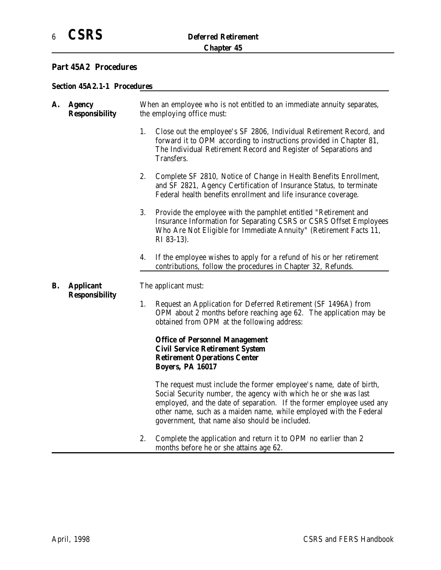<sup>6</sup> *CSRS* **Deferred Retirement** 

# **Part 45A2 Procedures**

# **Section 45A2.1-1 Procedures**

| A.        | <b>Agency</b><br><b>Responsibility</b> |    | When an employee who is not entitled to an immediate annuity separates,<br>the employing office must:                                                                                                                                                                                                                                    |
|-----------|----------------------------------------|----|------------------------------------------------------------------------------------------------------------------------------------------------------------------------------------------------------------------------------------------------------------------------------------------------------------------------------------------|
|           |                                        | 1. | Close out the employee's SF 2806, Individual Retirement Record, and<br>forward it to OPM according to instructions provided in Chapter 81,<br>The Individual Retirement Record and Register of Separations and<br>Transfers.                                                                                                             |
|           |                                        | 2. | Complete SF 2810, Notice of Change in Health Benefits Enrollment,<br>and SF 2821, Agency Certification of Insurance Status, to terminate<br>Federal health benefits enrollment and life insurance coverage.                                                                                                                              |
|           |                                        | 3. | Provide the employee with the pamphlet entitled "Retirement and<br>Insurance Information for Separating CSRS or CSRS Offset Employees<br>Who Are Not Eligible for Immediate Annuity" (Retirement Facts 11,<br>RI 83-13).                                                                                                                 |
|           |                                        | 4. | If the employee wishes to apply for a refund of his or her retirement<br>contributions, follow the procedures in Chapter 32, Refunds.                                                                                                                                                                                                    |
| <b>B.</b> | <b>Applicant</b>                       |    | The applicant must:                                                                                                                                                                                                                                                                                                                      |
|           | <b>Responsibility</b>                  | 1. | Request an Application for Deferred Retirement (SF 1496A) from<br>OPM about 2 months before reaching age 62. The application may be<br>obtained from OPM at the following address:                                                                                                                                                       |
|           |                                        |    | <b>Office of Personnel Management</b><br><b>Civil Service Retirement System</b><br><b>Retirement Operations Center</b><br><b>Boyers, PA 16017</b>                                                                                                                                                                                        |
|           |                                        |    | The request must include the former employee's name, date of birth,<br>Social Security number, the agency with which he or she was last<br>employed, and the date of separation. If the former employee used any<br>other name, such as a maiden name, while employed with the Federal<br>government, that name also should be included. |
|           |                                        | 2. | Complete the application and return it to OPM no earlier than 2<br>months before he or she attains age 62.                                                                                                                                                                                                                               |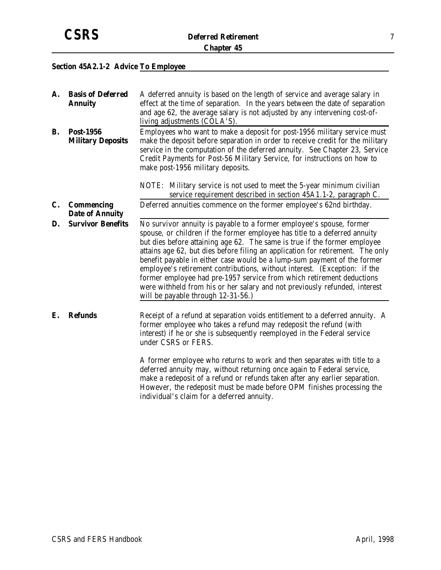# **Section 45A2.1-2 Advice To Employee**

| A.            | <b>Basis of Deferred</b><br><b>Annuity</b>   | A deferred annuity is based on the length of service and average salary in<br>effect at the time of separation. In the years between the date of separation<br>and age 62, the average salary is not adjusted by any intervening cost-of-<br>living adjustments (COLA'S).                                                                                                                                                                                                                                                                                                                                                                                               |
|---------------|----------------------------------------------|-------------------------------------------------------------------------------------------------------------------------------------------------------------------------------------------------------------------------------------------------------------------------------------------------------------------------------------------------------------------------------------------------------------------------------------------------------------------------------------------------------------------------------------------------------------------------------------------------------------------------------------------------------------------------|
| <b>B.</b>     | <b>Post-1956</b><br><b>Military Deposits</b> | Employees who want to make a deposit for post-1956 military service must<br>make the deposit before separation in order to receive credit for the military<br>service in the computation of the deferred annuity. See Chapter 23, Service<br>Credit Payments for Post-56 Military Service, for instructions on how to<br>make post-1956 military deposits.                                                                                                                                                                                                                                                                                                              |
|               |                                              | NOTE: Military service is not used to meet the 5-year minimum civilian<br>service requirement described in section 45A1.1-2, paragraph C.                                                                                                                                                                                                                                                                                                                                                                                                                                                                                                                               |
| $C_{\bullet}$ | <b>Commencing</b><br><b>Date of Annuity</b>  | Deferred annuities commence on the former employee's 62nd birthday.                                                                                                                                                                                                                                                                                                                                                                                                                                                                                                                                                                                                     |
| D.            | <b>Survivor Benefits</b>                     | No survivor annuity is payable to a former employee's spouse, former<br>spouse, or children if the former employee has title to a deferred annuity<br>but dies before attaining age 62. The same is true if the former employee<br>attains age 62, but dies before filing an application for retirement. The only<br>benefit payable in either case would be a lump-sum payment of the former<br>employee's retirement contributions, without interest. (Exception: if the<br>former employee had pre-1957 service from which retirement deductions<br>were withheld from his or her salary and not previously refunded, interest<br>will be payable through 12-31-56.) |
| E.            | <b>Refunds</b>                               | Receipt of a refund at separation voids entitlement to a deferred annuity. A<br>former employee who takes a refund may redeposit the refund (with<br>interest) if he or she is subsequently reemployed in the Federal service<br>under CSRS or FERS.                                                                                                                                                                                                                                                                                                                                                                                                                    |
|               |                                              | A former employee who returns to work and then separates with title to a<br>deferred annuity may, without returning once again to Federal service,<br>make a redeposit of a refund or refunds taken after any earlier separation.<br>However, the redeposit must be made before OPM finishes processing the<br>individual's claim for a deferred annuity.                                                                                                                                                                                                                                                                                                               |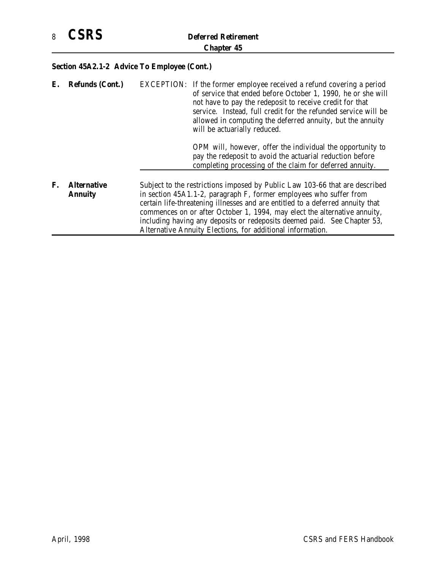# **Section 45A2.1-2 Advice To Employee (Cont.)**

| Е. | <b>Refunds (Cont.)</b>               | <b>EXCEPTION:</b> If the former employee received a refund covering a period<br>of service that ended before October 1, 1990, he or she will<br>not have to pay the redeposit to receive credit for that<br>service. Instead, full credit for the refunded service will be<br>allowed in computing the deferred annuity, but the annuity<br>will be actuarially reduced.                                                                                   |  |
|----|--------------------------------------|------------------------------------------------------------------------------------------------------------------------------------------------------------------------------------------------------------------------------------------------------------------------------------------------------------------------------------------------------------------------------------------------------------------------------------------------------------|--|
|    |                                      | OPM will, however, offer the individual the opportunity to<br>pay the redeposit to avoid the actuarial reduction before<br>completing processing of the claim for deferred annuity.                                                                                                                                                                                                                                                                        |  |
| F. | <b>Alternative</b><br><b>Annuity</b> | Subject to the restrictions imposed by Public Law 103-66 that are described<br>in section 45A1.1-2, paragraph F, former employees who suffer from<br>certain life-threatening illnesses and are entitled to a deferred annuity that<br>commences on or after October 1, 1994, may elect the alternative annuity,<br>including having any deposits or redeposits deemed paid. See Chapter 53,<br>Alternative Annuity Elections, for additional information. |  |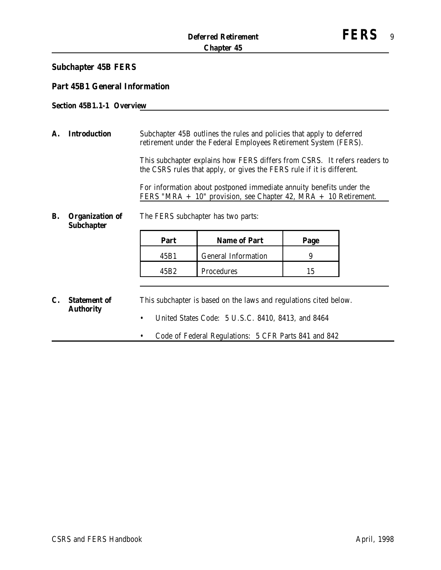### **Subchapter 45B FERS**

## **Part 45B1 General Information**

#### **Section 45B1.1-1 Overview**

| A. Introduction | Subchapter 45B outlines the rules and policies that apply to deferred |
|-----------------|-----------------------------------------------------------------------|
|                 | retirement under the Federal Employees Retirement System (FERS).      |

This subchapter explains how FERS differs from CSRS. It refers readers to the CSRS rules that apply, or gives the FERS rule if it is different.

For information about postponed immediate annuity benefits under the FERS "MRA + 10" provision, see Chapter 42, MRA + 10 Retirement.

**Subchapter** 

**B. Organization of** The FERS subchapter has two parts:

| Part | <b>Name of Part</b>        | Page |
|------|----------------------------|------|
| 45B1 | <b>General Information</b> |      |
| 45R2 | Procedures                 | 15   |

**C.** Statement of This subchapter is based on the laws and regulations cited below. **Authority** 

- • United States Code: 5 U.S.C. 8410, 8413, and 8464
- • Code of Federal Regulations: 5 CFR Parts 841 and 842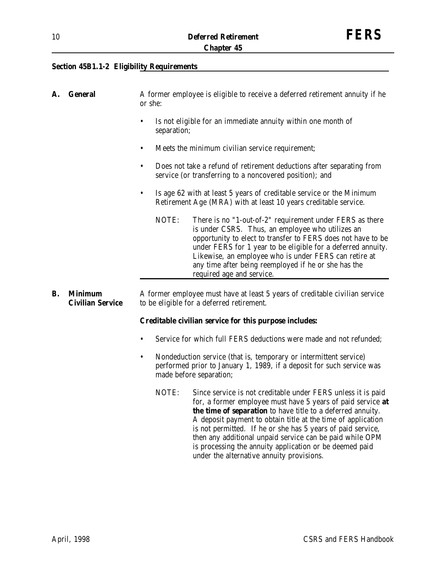

# **Section 45B1.1-2 Eligibility Requirements**

| A. | <b>General</b> | or she:   | A former employee is eligible to receive a deferred retirement annuity if he                                                                                                                                                                                                                                                                                                                        |
|----|----------------|-----------|-----------------------------------------------------------------------------------------------------------------------------------------------------------------------------------------------------------------------------------------------------------------------------------------------------------------------------------------------------------------------------------------------------|
|    |                | ٠         | Is not eligible for an immediate annuity within one month of<br>separation;                                                                                                                                                                                                                                                                                                                         |
|    |                | $\bullet$ | Meets the minimum civilian service requirement;                                                                                                                                                                                                                                                                                                                                                     |
|    |                | $\bullet$ | Does not take a refund of retirement deductions after separating from<br>service (or transferring to a noncovered position); and                                                                                                                                                                                                                                                                    |
|    |                |           | Is age 62 with at least 5 years of creditable service or the Minimum<br>Retirement Age (MRA) with at least 10 years creditable service.                                                                                                                                                                                                                                                             |
|    |                |           | NOTE:<br>There is no "1-out-of-2" requirement under FERS as there<br>is under CSRS. Thus, an employee who utilizes an<br>opportunity to elect to transfer to FERS does not have to be<br>under FERS for 1 year to be eligible for a deferred annuity.<br>Likewise, an employee who is under FERS can retire at<br>any time after being reemployed if he or she has the<br>required age and service. |

## **B. Minimum A** former employee must have at least 5 years of creditable civilian service **Civilian Service** to be eligible for a deferred retirement.

## **Creditable civilian service for this purpose includes:**

- Service for which full FERS deductions were made and not refunded;
- Nondeduction service (that is, temporary or intermittent service) performed prior to January 1, 1989, if a deposit for such service was made before separation;
	- NOTE: Since service is not creditable under FERS unless it is paid for, a former employee must have 5 years of paid service **at the time of separation** to have title to a deferred annuity. A deposit payment to obtain title at the time of application is not permitted. If he or she has 5 years of paid service, then any additional unpaid service can be paid while OPM is processing the annuity application or be deemed paid under the alternative annuity provisions.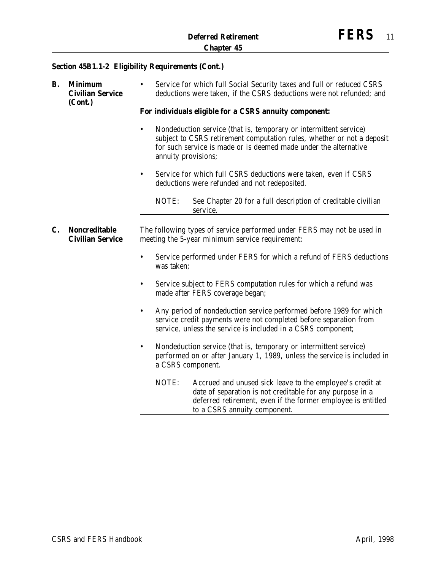# **Section 45B1.1-2 Eligibility Requirements (Cont.)**

| <b>B.</b>      | <b>Minimum</b><br><b>Civilian Service</b><br>(Cont.) | Service for which full Social Security taxes and full or reduced CSRS<br>deductions were taken, if the CSRS deductions were not refunded; and<br>For individuals eligible for a CSRS annuity component:                                             |  |  |  |
|----------------|------------------------------------------------------|-----------------------------------------------------------------------------------------------------------------------------------------------------------------------------------------------------------------------------------------------------|--|--|--|
|                |                                                      | Nondeduction service (that is, temporary or intermittent service)<br>$\bullet$<br>subject to CSRS retirement computation rules, whether or not a deposit<br>for such service is made or is deemed made under the alternative<br>annuity provisions; |  |  |  |
|                |                                                      | Service for which full CSRS deductions were taken, even if CSRS<br>٠<br>deductions were refunded and not redeposited.                                                                                                                               |  |  |  |
|                |                                                      | NOTE:<br>See Chapter 20 for a full description of creditable civilian<br>service.                                                                                                                                                                   |  |  |  |
| $\mathbf{C}$ . | <b>Noncreditable</b><br><b>Civilian Service</b>      | The following types of service performed under FERS may not be used in<br>meeting the 5-year minimum service requirement:                                                                                                                           |  |  |  |
|                |                                                      | Service performed under FERS for which a refund of FERS deductions<br>٠<br>was taken;                                                                                                                                                               |  |  |  |
|                |                                                      | Service subject to FERS computation rules for which a refund was<br>٠<br>made after FERS coverage began;                                                                                                                                            |  |  |  |
|                |                                                      | Any period of nondeduction service performed before 1989 for which<br>٠<br>service credit payments were not completed before separation from<br>service, unless the service is included in a CSRS component;                                        |  |  |  |
|                |                                                      | Nondeduction service (that is, temporary or intermittent service)<br>٠<br>performed on or after January 1, 1989, unless the service is included in<br>a CSRS component.                                                                             |  |  |  |
|                |                                                      | NOTE:<br>Accrued and unused sick leave to the employee's credit at<br>date of separation is not creditable for any purpose in a<br>deferred retirement, even if the former employee is entitled<br>to a CSRS annuity component.                     |  |  |  |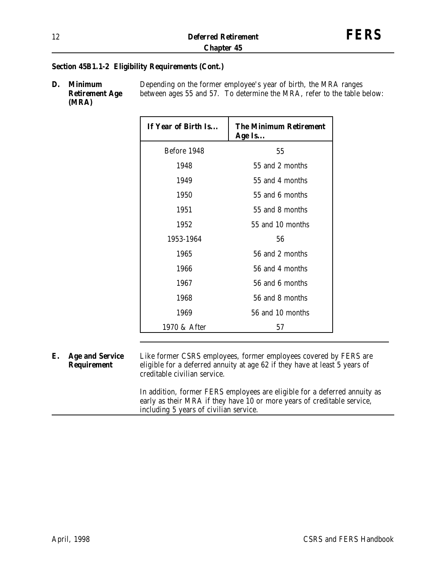## **Section 45B1.1-2 Eligibility Requirements (Cont.)**

**D.** Minimum **Depending on the former employee's year of birth, the MRA ranges Retirement Age** between ages 55 and 57. To determine the MRA, refer to the table below: **(MRA)** 

| If Year of Birth Is | <b>The Minimum Retirement</b><br>Age Is |
|---------------------|-----------------------------------------|
| Before 1948         | 55                                      |
| 1948                | 55 and 2 months                         |
| 1949                | 55 and 4 months                         |
| 1950                | 55 and 6 months                         |
| 1951                | 55 and 8 months                         |
| 1952                | 55 and 10 months                        |
| 1953-1964           | 56                                      |
| 1965                | 56 and 2 months                         |
| 1966                | 56 and 4 months                         |
| 1967                | 56 and 6 months                         |
| 1968                | 56 and 8 months                         |
| 1969                | 56 and 10 months                        |
| 1970 & After        | 57                                      |

#### **E. Age and Service Requirement** Like former CSRS employees, former employees covered by FERS are eligible for a deferred annuity at age 62 if they have at least 5 years of creditable civilian service. In addition, former FERS employees are eligible for a deferred annuity as early as their MRA if they have 10 or more years of creditable service, including 5 years of civilian service.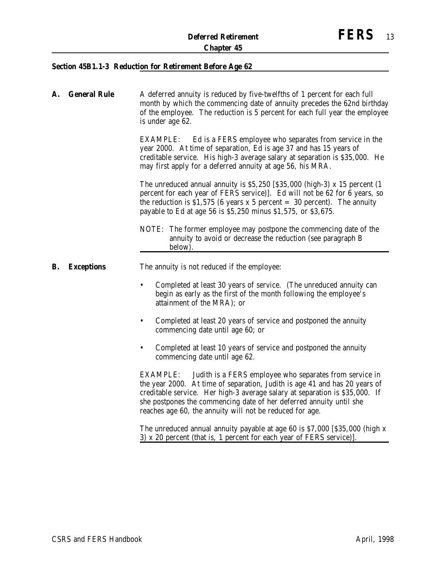# **Section 45B1.1-3 Reduction for Retirement Before Age 62**

| A. | <b>General Rule</b> | A deferred annuity is reduced by five-twelfths of 1 percent for each full<br>month by which the commencing date of annuity precedes the 62nd birthday<br>of the employee. The reduction is 5 percent for each full year the employee<br>is under age 62.                                                                                                            |  |  |  |
|----|---------------------|---------------------------------------------------------------------------------------------------------------------------------------------------------------------------------------------------------------------------------------------------------------------------------------------------------------------------------------------------------------------|--|--|--|
|    |                     | Ed is a FERS employee who separates from service in the<br>EXAMPLE:<br>year 2000. At time of separation, Ed is age 37 and has 15 years of<br>creditable service. His high-3 average salary at separation is \$35,000. He<br>may first apply for a deferred annuity at age 56, his MRA.                                                                              |  |  |  |
|    |                     | The unreduced annual annuity is $$5,250$ [ $$35,000$ (high-3) x 15 percent (1)<br>percent for each year of FERS service)]. Ed will not be 62 for 6 years, so<br>the reduction is \$1,575 (6 years $x$ 5 percent = 30 percent). The annuity<br>payable to Ed at age 56 is \$5,250 minus \$1,575, or \$3,675.                                                         |  |  |  |
|    |                     | NOTE: The former employee may postpone the commencing date of the<br>annuity to avoid or decrease the reduction (see paragraph B<br>below).                                                                                                                                                                                                                         |  |  |  |
| B. | <b>Exceptions</b>   | The annuity is not reduced if the employee:                                                                                                                                                                                                                                                                                                                         |  |  |  |
|    |                     | Completed at least 30 years of service. (The unreduced annuity can<br>$\bullet$<br>begin as early as the first of the month following the employee's<br>attainment of the MRA); or                                                                                                                                                                                  |  |  |  |
|    |                     | Completed at least 20 years of service and postponed the annuity<br>$\bullet$<br>commencing date until age 60; or                                                                                                                                                                                                                                                   |  |  |  |
|    |                     | Completed at least 10 years of service and postponed the annuity<br>$\bullet$<br>commencing date until age 62.                                                                                                                                                                                                                                                      |  |  |  |
|    |                     | Judith is a FERS employee who separates from service in<br>EXAMPLE:<br>the year 2000. At time of separation, Judith is age 41 and has 20 years of<br>creditable service. Her high-3 average salary at separation is \$35,000. If<br>she postpones the commencing date of her deferred annuity until she<br>reaches age 60, the annuity will not be reduced for age. |  |  |  |
|    |                     | The unreduced annual annuity payable at age 60 is \$7,000 [\$35,000 (high x<br>3) x 20 percent (that is, 1 percent for each year of FERS service)].                                                                                                                                                                                                                 |  |  |  |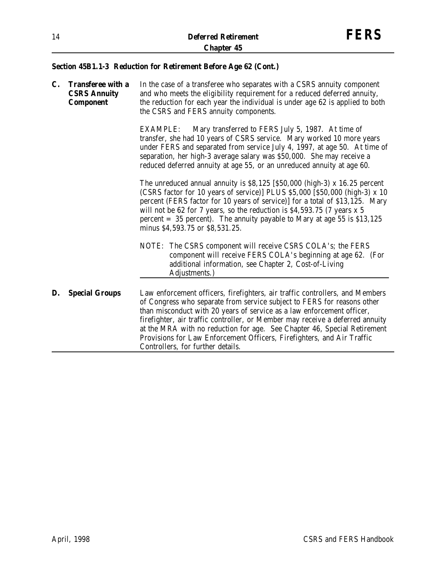| 14 | <b>Deferred Retirement</b><br><b>Chapter 45</b>                     |                                                                                                                                                                                                                                                                                                                                                                        |  |  |  |  |
|----|---------------------------------------------------------------------|------------------------------------------------------------------------------------------------------------------------------------------------------------------------------------------------------------------------------------------------------------------------------------------------------------------------------------------------------------------------|--|--|--|--|
|    |                                                                     | Section 45B1.1-3 Reduction for Retirement Before Age 62 (Cont.)                                                                                                                                                                                                                                                                                                        |  |  |  |  |
| C. | <b>Transferee with a</b><br><b>CSRS Annuity</b><br><b>Component</b> | In the case of a transferee who separates with a CSRS annuity component<br>and who meets the eligibility requirement for a reduced deferred annuity,<br>the reduction for each year the individual is under age 62 is applied to both<br>the CSRS and FERS annuity components.                                                                                         |  |  |  |  |
|    |                                                                     | Mary transferred to FERS July 5, 1987. At time of<br>EXAMPLE:<br>transfer, she had 10 years of CSRS service. Mary worked 10 more years<br>under FERS and separated from service July 4, 1997, at age 50. At time of<br>separation, her high-3 average salary was \$50,000. She may receive a<br>reduced deferred annuity at age 55, or an unreduced annuity at age 60. |  |  |  |  |
|    |                                                                     | $\blacksquare$                                                                                                                                                                                                                                                                                                                                                         |  |  |  |  |

The unreduced annual annuity is \$8,125 [\$50,000 (high-3) x 16.25 percent (CSRS factor for 10 years of service)] PLUS \$5,000 [\$50,000 (high-3) x 10 percent (FERS factor for 10 years of service)] for a total of \$13,125. Mary will not be 62 for 7 years, so the reduction is \$4,593.75 (7 years x 5 percent = 35 percent). The annuity payable to Mary at age 55 is \$13,125 minus \$4,593.75 or \$8,531.25.

NOTE: The CSRS component will receive CSRS COLA's; the FERS component will receive FERS COLA's beginning at age 62. (For additional information, see Chapter 2, Cost-of-Living Adjustments.)

**D. Special Groups** Law enforcement officers, firefighters, air traffic controllers, and Members of Congress who separate from service subject to FERS for reasons other than misconduct with 20 years of service as a law enforcement officer, firefighter, air traffic controller, or Member may receive a deferred annuity at the MRA with no reduction for age. See Chapter 46, Special Retirement Provisions for Law Enforcement Officers, Firefighters, and Air Traffic Controllers, for further details.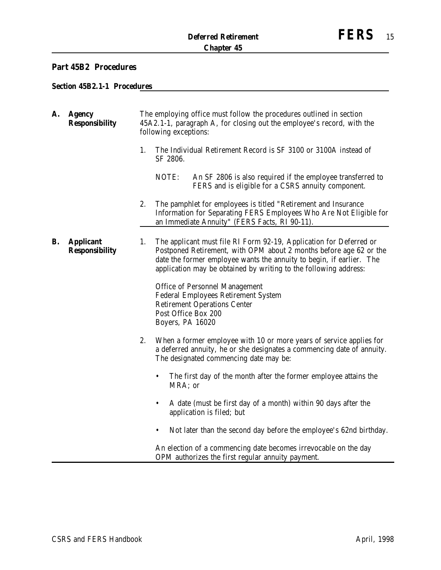# **Part 45B2 Procedures**

# **Section 45B2.1-1 Procedures**

| A.                                                    | <b>Agency</b><br><b>Responsibility</b> |    | The employing office must follow the procedures outlined in section<br>45A2.1-1, paragraph A, for closing out the employee's record, with the<br>following exceptions:                                                                                                               |  |
|-------------------------------------------------------|----------------------------------------|----|--------------------------------------------------------------------------------------------------------------------------------------------------------------------------------------------------------------------------------------------------------------------------------------|--|
|                                                       |                                        | 1. | The Individual Retirement Record is SF 3100 or 3100A instead of<br>SF 2806.                                                                                                                                                                                                          |  |
|                                                       |                                        |    | NOTE:<br>An SF 2806 is also required if the employee transferred to<br>FERS and is eligible for a CSRS annuity component.                                                                                                                                                            |  |
|                                                       |                                        | 2. | The pamphlet for employees is titled "Retirement and Insurance<br>Information for Separating FERS Employees Who Are Not Eligible for<br>an Immediate Annuity" (FERS Facts, RI 90-11).                                                                                                |  |
| В.<br><b>Applicant</b><br>1.<br><b>Responsibility</b> |                                        |    | The applicant must file RI Form 92-19, Application for Deferred or<br>Postponed Retirement, with OPM about 2 months before age 62 or the<br>date the former employee wants the annuity to begin, if earlier. The<br>application may be obtained by writing to the following address: |  |
|                                                       |                                        |    | <b>Office of Personnel Management</b><br><b>Federal Employees Retirement System</b><br><b>Retirement Operations Center</b><br>Post Office Box 200<br>Boyers, PA 16020                                                                                                                |  |
|                                                       |                                        | 2. | When a former employee with 10 or more years of service applies for<br>a deferred annuity, he or she designates a commencing date of annuity.<br>The designated commencing date may be:                                                                                              |  |
|                                                       |                                        |    | The first day of the month after the former employee attains the<br>$\bullet$<br>MRA; or                                                                                                                                                                                             |  |
|                                                       |                                        |    | A date (must be first day of a month) within 90 days after the<br>$\bullet$<br>application is filed; but                                                                                                                                                                             |  |
|                                                       |                                        |    | Not later than the second day before the employee's 62nd birthday.<br>$\bullet$                                                                                                                                                                                                      |  |
|                                                       |                                        |    | An election of a commencing date becomes irrevocable on the day<br>OPM authorizes the first regular annuity payment.                                                                                                                                                                 |  |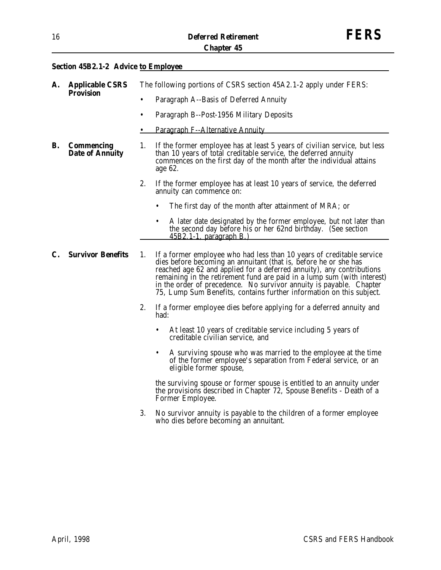| <b>Section 45B2.1-2 Advice to Employee</b> |  |  |
|--------------------------------------------|--|--|
|                                            |  |  |

| A.                                                | <b>Applicable CSRS</b>   |           | The following portions of CSRS section 45A2.1-2 apply under FERS:                                                                                                                                                                                                                                                                                                                                                                            |  |
|---------------------------------------------------|--------------------------|-----------|----------------------------------------------------------------------------------------------------------------------------------------------------------------------------------------------------------------------------------------------------------------------------------------------------------------------------------------------------------------------------------------------------------------------------------------------|--|
|                                                   | <b>Provision</b>         | $\bullet$ | Paragraph A--Basis of Deferred Annuity                                                                                                                                                                                                                                                                                                                                                                                                       |  |
|                                                   |                          | $\bullet$ | Paragraph B--Post-1956 Military Deposits                                                                                                                                                                                                                                                                                                                                                                                                     |  |
|                                                   |                          |           | Paragraph F--Alternative Annuity                                                                                                                                                                                                                                                                                                                                                                                                             |  |
| B.<br><b>Commencing</b><br><b>Date of Annuity</b> |                          | 1.        | If the former employee has at least 5 years of civilian service, but less<br>than 10 years of total creditable service, the deferred annuity<br>commences on the first day of the month after the individual attains<br>age 62.                                                                                                                                                                                                              |  |
|                                                   |                          | 2.        | If the former employee has at least 10 years of service, the deferred<br>annuity can commence on:                                                                                                                                                                                                                                                                                                                                            |  |
|                                                   |                          |           | The first day of the month after attainment of MRA; or                                                                                                                                                                                                                                                                                                                                                                                       |  |
|                                                   |                          |           | A later date designated by the former employee, but not later than<br>the second day before his or her 62nd birthday. (See section<br>45B2.1-1, paragraph B.)                                                                                                                                                                                                                                                                                |  |
| C.                                                | <b>Survivor Benefits</b> | 1.        | If a former employee who had less than 10 years of creditable service<br>dies before becoming an annuitant (that is, before he or she has<br>reached age 62 and applied for a deferred annuity), any contributions<br>remaining in the retirement fund are paid in a lump sum (with interest)<br>in the order of precedence. No survivor annuity is payable. Chapter<br>75, Lump Sum Benefits, contains further information on this subject. |  |
|                                                   |                          | 2.        | If a former employee dies before applying for a deferred annuity and<br>had:                                                                                                                                                                                                                                                                                                                                                                 |  |
|                                                   |                          |           | At least 10 years of creditable service including 5 years of<br>$\bullet$<br>creditable civilian service, and                                                                                                                                                                                                                                                                                                                                |  |
|                                                   |                          |           | A surviving spouse who was married to the employee at the time<br>of the former employee's separation from Federal service, or an<br>eligible former spouse,                                                                                                                                                                                                                                                                                 |  |
|                                                   |                          |           | the surviving spouse or former spouse is entitled to an annuity under<br>the provisions described in Chapter 72, Spouse Benefits - Death of a<br>Former Employee.                                                                                                                                                                                                                                                                            |  |
|                                                   |                          | 3.        | No survivor annuity is payable to the children of a former employee<br>who dies before becoming an annuitant.                                                                                                                                                                                                                                                                                                                                |  |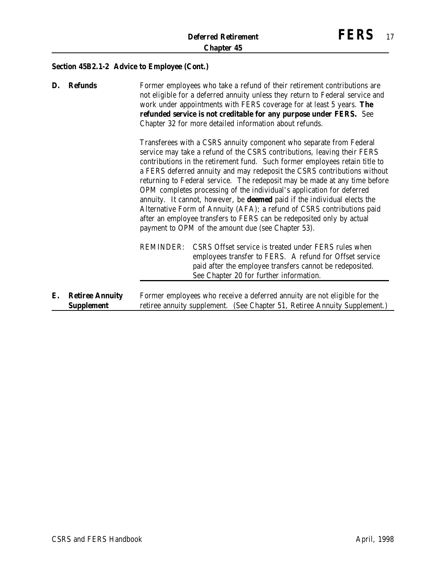# **Section 45B2.1-2 Advice to Employee (Cont.)**

| D. | <b>Refunds</b>                              | Former employees who take a refund of their retirement contributions are<br>not eligible for a deferred annuity unless they return to Federal service and<br>work under appointments with FERS coverage for at least 5 years. The<br>refunded service is not creditable for any purpose under FERS. See<br>Chapter 32 for more detailed information about refunds.<br>Transferees with a CSRS annuity component who separate from Federal<br>service may take a refund of the CSRS contributions, leaving their FERS<br>contributions in the retirement fund. Such former employees retain title to<br>a FERS deferred annuity and may redeposit the CSRS contributions without<br>returning to Federal service. The redeposit may be made at any time before<br>OPM completes processing of the individual's application for deferred<br>annuity. It cannot, however, be <b>deemed</b> paid if the individual elects the<br>Alternative Form of Annuity (AFA); a refund of CSRS contributions paid<br>after an employee transfers to FERS can be redeposited only by actual<br>payment to OPM of the amount due (see Chapter 53). |  |  |  |
|----|---------------------------------------------|------------------------------------------------------------------------------------------------------------------------------------------------------------------------------------------------------------------------------------------------------------------------------------------------------------------------------------------------------------------------------------------------------------------------------------------------------------------------------------------------------------------------------------------------------------------------------------------------------------------------------------------------------------------------------------------------------------------------------------------------------------------------------------------------------------------------------------------------------------------------------------------------------------------------------------------------------------------------------------------------------------------------------------------------------------------------------------------------------------------------------------|--|--|--|
|    |                                             |                                                                                                                                                                                                                                                                                                                                                                                                                                                                                                                                                                                                                                                                                                                                                                                                                                                                                                                                                                                                                                                                                                                                    |  |  |  |
|    |                                             | CSRS Offset service is treated under FERS rules when<br><b>REMINDER:</b><br>employees transfer to FERS. A refund for Offset service<br>paid after the employee transfers cannot be redeposited.<br>See Chapter 20 for further information.                                                                                                                                                                                                                                                                                                                                                                                                                                                                                                                                                                                                                                                                                                                                                                                                                                                                                         |  |  |  |
| Е. | <b>Retiree Annuity</b><br><b>Supplement</b> | Former employees who receive a deferred annuity are not eligible for the<br>retiree annuity supplement. (See Chapter 51, Retiree Annuity Supplement.)                                                                                                                                                                                                                                                                                                                                                                                                                                                                                                                                                                                                                                                                                                                                                                                                                                                                                                                                                                              |  |  |  |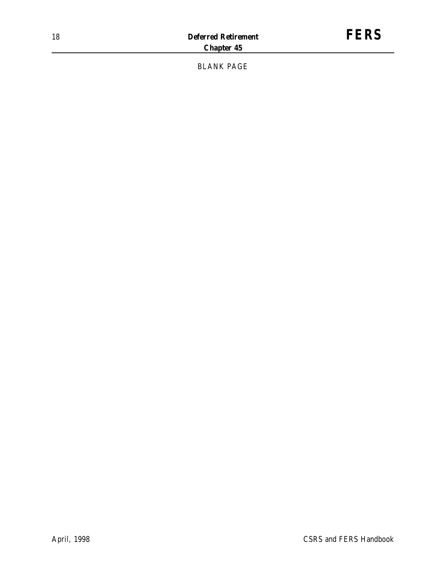BLANK PAGE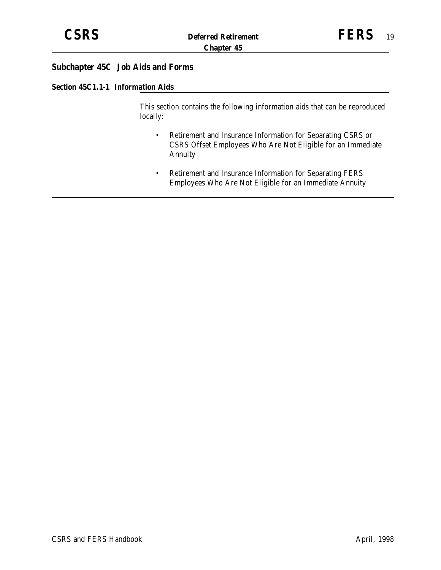## **Subchapter 45C Job Aids and Forms**

#### **Section 45C1.1-1 Information Aids**

This section contains the following information aids that can be reproduced locally:

- • Retirement and Insurance Information for Separating CSRS or CSRS Offset Employees Who Are Not Eligible for an Immediate Annuity
- • Retirement and Insurance Information for Separating FERS Employees Who Are Not Eligible for an Immediate Annuity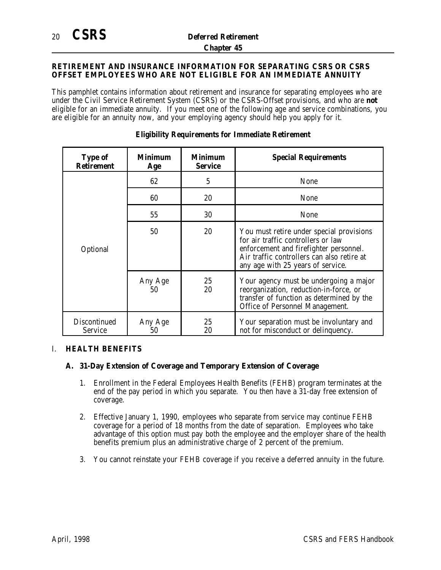## **RETIREMENT AND INSURANCE INFORMATION FOR SEPARATING CSRS OR CSRS OFFSET EMPLOYEES WHO ARE NOT ELIGIBLE FOR AN IMMEDIATE ANNUITY**

This pamphlet contains information about retirement and insurance for separating employees who are under the Civil Service Retirement System (CSRS) or the CSRS-Offset provisions, and who are **not**  eligible for an immediate annuity. If you meet one of the following age and service combinations, you are eligible for an annuity now, and your employing agency should help you apply for it.

| <b>Type of</b><br><b>Retirement</b>   | <b>Minimum</b><br>Age | <b>Minimum</b><br><b>Service</b> | <b>Special Requirements</b>                                                                                                                                                                                 |
|---------------------------------------|-----------------------|----------------------------------|-------------------------------------------------------------------------------------------------------------------------------------------------------------------------------------------------------------|
|                                       | 62                    | 5                                | None                                                                                                                                                                                                        |
|                                       | 60                    | 20                               | <b>None</b>                                                                                                                                                                                                 |
|                                       | 55                    | 30                               | None                                                                                                                                                                                                        |
| Optional                              | 50                    | 20                               | You must retire under special provisions<br>for air traffic controllers or law<br>enforcement and firefighter personnel.<br>Air traffic controllers can also retire at<br>any age with 25 years of service. |
|                                       | Any Age<br>50         | 25<br>20                         | Your agency must be undergoing a major<br>reorganization, reduction-in-force, or<br>transfer of function as determined by the<br>Office of Personnel Management.                                            |
| <b>Discontinued</b><br><b>Service</b> | Any Age<br>50         | 25<br>20                         | Your separation must be involuntary and<br>not for misconduct or delinquency.                                                                                                                               |

## **Eligibility Requirements for Immediate Retirement**

# I. **HEALTH BENEFITS**

# **A. 31-Day Extension of Coverage and Temporary Extension of Coverage**

- 1. Enrollment in the Federal Employees Health Benefits (FEHB) program terminates at the end of the pay period in which you separate. You then have a 31-day free extension of coverage.
- 2. Effective January 1, 1990, employees who separate from service may continue FEHB coverage for a period of 18 months from the date of separation. Employees who take advantage of this option must pay both the employee and the employer share of the health benefits premium plus an administrative charge of 2 percent of the premium.
- 3. You cannot reinstate your FEHB coverage if you receive a deferred annuity in the future.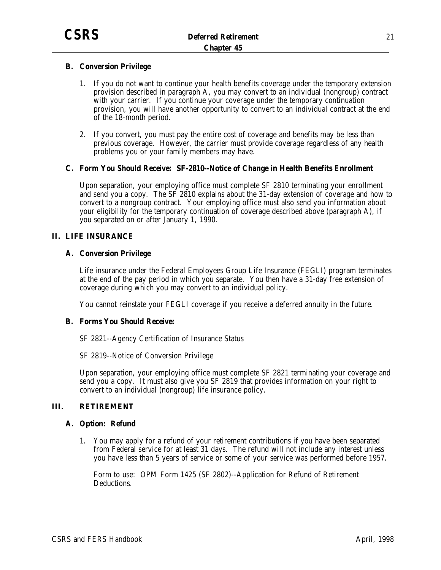## **B. Conversion Privilege**

- 1. If you do not want to continue your health benefits coverage under the temporary extension provision described in paragraph A, you may convert to an individual (nongroup) contract with your carrier. If you continue your coverage under the temporary continuation provision, you will have another opportunity to convert to an individual contract at the end of the 18-month period.
- 2. If you convert, you must pay the entire cost of coverage and benefits may be less than previous coverage. However, the carrier must provide coverage regardless of any health problems you or your family members may have.

### **C. Form You Should Receive: SF-2810--Notice of Change in Health Benefits Enrollment**

Upon separation, your employing office must complete SF 2810 terminating your enrollment and send you a copy. The SF 2810 explains about the 31-day extension of coverage and how to convert to a nongroup contract. Your employing office must also send you information about your eligibility for the temporary continuation of coverage described above (paragraph A), if you separated on or after January 1, 1990.

### **II. LIFE INSURANCE**

### **A. Conversion Privilege**

Life insurance under the Federal Employees Group Life Insurance (FEGLI) program terminates at the end of the pay period in which you separate. You then have a 31-day free extension of coverage during which you may convert to an individual policy.

You cannot reinstate your FEGLI coverage if you receive a deferred annuity in the future.

#### **B. Forms You Should Receive:**

SF 2821--Agency Certification of Insurance Status

SF 2819--Notice of Conversion Privilege

Upon separation, your employing office must complete SF 2821 terminating your coverage and send you a copy. It must also give you SF 2819 that provides information on your right to convert to an individual (nongroup) life insurance policy.

#### **III. RETIREMENT**

#### **A. Option: Refund**

1. You may apply for a refund of your retirement contributions if you have been separated from Federal service for at least 31 days. The refund will not include any interest unless you have less than 5 years of service or some of your service was performed before 1957.

Form to use: OPM Form 1425 (SF 2802)--Application for Refund of Retirement Deductions.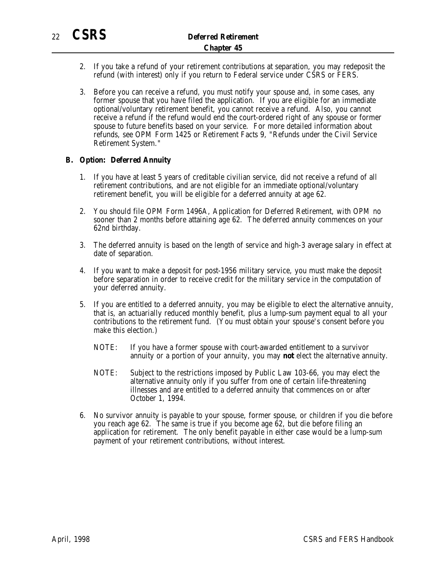<sup>22</sup> *CSRS* **Deferred Retirement** 

- 2. If you take a refund of your retirement contributions at separation, you may redeposit the refund (with interest) only if you return to Federal service under CSRS or FERS.
- 3. Before you can receive a refund, you must notify your spouse and, in some cases, any former spouse that you have filed the application. If you are eligible for an immediate optional/voluntary retirement benefit, you cannot receive a refund. Also, you cannot receive a refund if the refund would end the court-ordered right of any spouse or former spouse to future benefits based on your service. For more detailed information about refunds, see OPM Form 1425 or Retirement Facts 9, "Refunds under the Civil Service Retirement System."

## **B. Option: Deferred Annuity**

- 1. If you have at least 5 years of creditable civilian service, did not receive a refund of all retirement contributions, and are not eligible for an immediate optional/voluntary retirement benefit, you will be eligible for a deferred annuity at age 62.
- 2. You should file OPM Form 1496A, Application for Deferred Retirement, with OPM no sooner than 2 months before attaining age 62. The deferred annuity commences on your 62nd birthday.
- 3. The deferred annuity is based on the length of service and high-3 average salary in effect at date of separation.
- 4. If you want to make a deposit for post-1956 military service, you must make the deposit before separation in order to receive credit for the military service in the computation of your deferred annuity.
- 5. If you are entitled to a deferred annuity, you may be eligible to elect the alternative annuity, that is, an actuarially reduced monthly benefit, plus a lump-sum payment equal to all your contributions to the retirement fund. (You must obtain your spouse's consent before you make this election.)
	- NOTE: If you have a former spouse with court-awarded entitlement to a survivor annuity or a portion of your annuity, you may **not** elect the alternative annuity.
	- NOTE: Subject to the restrictions imposed by Public Law 103-66, you may elect the alternative annuity only if you suffer from one of certain life-threatening illnesses and are entitled to a deferred annuity that commences on or after October 1, 1994.
- 6. No survivor annuity is payable to your spouse, former spouse, or children if you die before you reach age 62. The same is true if you become age 62, but die before filing an application for retirement. The only benefit payable in either case would be a lump-sum payment of your retirement contributions, without interest.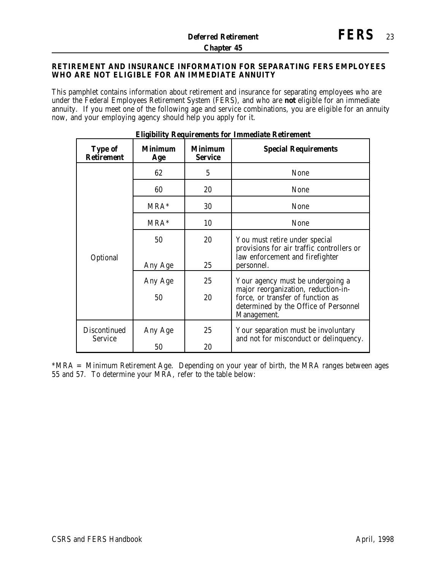## **RETIREMENT AND INSURANCE INFORMATION FOR SEPARATING FERS EMPLOYEES WHO ARE NOT ELIGIBLE FOR AN IMMEDIATE ANNUITY**

This pamphlet contains information about retirement and insurance for separating employees who are under the Federal Employees Retirement System (FERS), and who are **not** eligible for an immediate annuity. If you meet one of the following age and service combinations, you are eligible for an annuity now, and your employing agency should help you apply for it.

| <b>Type of</b><br><b>Retirement</b> | <b>Minimum</b><br>Age | <b>Minimum</b><br><b>Service</b> | <b>Special Requirements</b>                                                                                                                                          |
|-------------------------------------|-----------------------|----------------------------------|----------------------------------------------------------------------------------------------------------------------------------------------------------------------|
| Optional                            | 62                    | 5                                | None                                                                                                                                                                 |
|                                     | 60                    | 20                               | <b>None</b>                                                                                                                                                          |
|                                     | $MRA*$                | 30                               | None                                                                                                                                                                 |
|                                     | $MRA*$                | 10                               | None                                                                                                                                                                 |
|                                     | 50<br>Any Age         | 20<br>25                         | You must retire under special<br>provisions for air traffic controllers or<br>law enforcement and firefighter<br>personnel.                                          |
|                                     | Any Age<br>50         | 25<br>20                         | Your agency must be undergoing a<br>major reorganization, reduction-in-<br>force, or transfer of function as<br>determined by the Office of Personnel<br>Management. |
| Discontinued<br>Service             | Any Age<br>50         | 25<br>20                         | Your separation must be involuntary<br>and not for misconduct or delinquency.                                                                                        |

## **Eligibility Requirements for Immediate Retirement**

\*MRA = Minimum Retirement Age. Depending on your year of birth, the MRA ranges between ages 55 and 57. To determine your MRA, refer to the table below: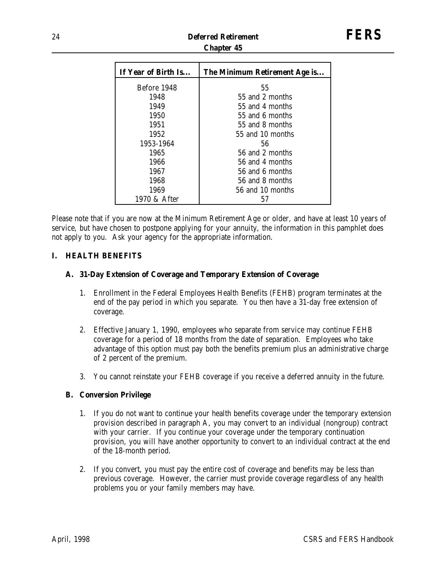

| If Year of Birth Is | The Minimum Retirement Age is |
|---------------------|-------------------------------|
| Before 1948         | 55                            |
| 1948                | 55 and 2 months               |
| 1949                | 55 and 4 months               |
| 1950                | 55 and 6 months               |
| 1951                | 55 and 8 months               |
| 1952                | 55 and 10 months              |
| 1953-1964           | 56                            |
| 1965                | 56 and 2 months               |
| 1966                | 56 and 4 months               |
| 1967                | 56 and 6 months               |
| 1968                | 56 and 8 months               |
| 1969                | 56 and 10 months              |
| 1970 & After        |                               |

Please note that if you are now at the Minimum Retirement Age or older, and have at least 10 years of service, but have chosen to postpone applying for your annuity, the information in this pamphlet does not apply to you. Ask your agency for the appropriate information.

## **I. HEALTH BENEFITS**

# **A. 31-Day Extension of Coverage and Temporary Extension of Coverage**

- 1. Enrollment in the Federal Employees Health Benefits (FEHB) program terminates at the end of the pay period in which you separate. You then have a 31-day free extension of coverage.
- 2. Effective January 1, 1990, employees who separate from service may continue FEHB coverage for a period of 18 months from the date of separation. Employees who take advantage of this option must pay both the benefits premium plus an administrative charge of 2 percent of the premium.
- 3. You cannot reinstate your FEHB coverage if you receive a deferred annuity in the future.

## **B. Conversion Privilege**

- 1. If you do not want to continue your health benefits coverage under the temporary extension provision described in paragraph A, you may convert to an individual (nongroup) contract with your carrier. If you continue your coverage under the temporary continuation provision, you will have another opportunity to convert to an individual contract at the end of the 18-month period.
- 2. If you convert, you must pay the entire cost of coverage and benefits may be less than previous coverage. However, the carrier must provide coverage regardless of any health problems you or your family members may have.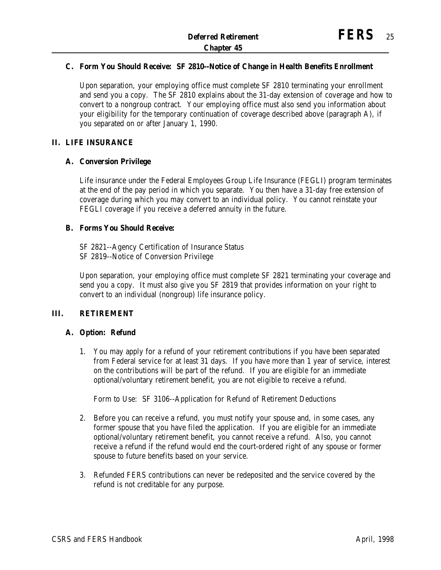#### **C. Form You Should Receive: SF 2810--Notice of Change in Health Benefits Enrollment**

Upon separation, your employing office must complete SF 2810 terminating your enrollment and send you a copy. The SF 2810 explains about the 31-day extension of coverage and how to convert to a nongroup contract. Your employing office must also send you information about your eligibility for the temporary continuation of coverage described above (paragraph A), if you separated on or after January 1, 1990.

## **II. LIFE INSURANCE**

## **A. Conversion Privilege**

Life insurance under the Federal Employees Group Life Insurance (FEGLI) program terminates at the end of the pay period in which you separate. You then have a 31-day free extension of coverage during which you may convert to an individual policy. You cannot reinstate your FEGLI coverage if you receive a deferred annuity in the future.

### **B. Forms You Should Receive:**

SF 2821--Agency Certification of Insurance Status SF 2819--Notice of Conversion Privilege

Upon separation, your employing office must complete SF 2821 terminating your coverage and send you a copy. It must also give you SF 2819 that provides information on your right to convert to an individual (nongroup) life insurance policy.

## **III. RETIREMENT**

## **A. Option: Refund**

1. You may apply for a refund of your retirement contributions if you have been separated from Federal service for at least 31 days. If you have more than 1 year of service, interest on the contributions will be part of the refund. If you are eligible for an immediate optional/voluntary retirement benefit, you are not eligible to receive a refund.

Form to Use: SF 3106--Application for Refund of Retirement Deductions

- 2. Before you can receive a refund, you must notify your spouse and, in some cases, any former spouse that you have filed the application. If you are eligible for an immediate optional/voluntary retirement benefit, you cannot receive a refund. Also, you cannot receive a refund if the refund would end the court-ordered right of any spouse or former spouse to future benefits based on your service.
- 3. Refunded FERS contributions can never be redeposited and the service covered by the refund is not creditable for any purpose.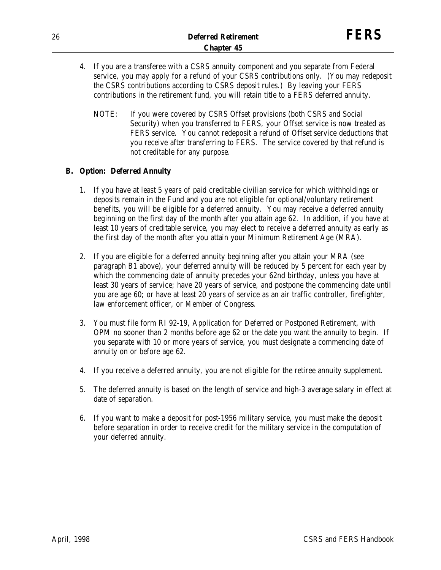- 4. If you are a transferee with a CSRS annuity component and you separate from Federal service, you may apply for a refund of your CSRS contributions only. (You may redeposit the CSRS contributions according to CSRS deposit rules.) By leaving your FERS contributions in the retirement fund, you will retain title to a FERS deferred annuity.
	- NOTE: If you were covered by CSRS Offset provisions (both CSRS and Social Security) when you transferred to FERS, your Offset service is now treated as FERS service. You cannot redeposit a refund of Offset service deductions that you receive after transferring to FERS. The service covered by that refund is not creditable for any purpose.

# **B. Option: Deferred Annuity**

- 1. If you have at least 5 years of paid creditable civilian service for which withholdings or deposits remain in the Fund and you are not eligible for optional/voluntary retirement benefits, you will be eligible for a deferred annuity. You may receive a deferred annuity beginning on the first day of the month after you attain age 62. In addition, if you have at least 10 years of creditable service, you may elect to receive a deferred annuity as early as the first day of the month after you attain your Minimum Retirement Age (MRA).
- 2. If you are eligible for a deferred annuity beginning after you attain your MRA (see paragraph B1 above), your deferred annuity will be reduced by 5 percent for each year by which the commencing date of annuity precedes your 62nd birthday, unless you have at least 30 years of service; have 20 years of service, and postpone the commencing date until you are age 60; or have at least 20 years of service as an air traffic controller, firefighter, law enforcement officer, or Member of Congress.
- 3. You must file form RI 92-19, Application for Deferred or Postponed Retirement, with OPM no sooner than 2 months before age 62 or the date you want the annuity to begin. If you separate with 10 or more years of service, you must designate a commencing date of annuity on or before age 62.
- 4. If you receive a deferred annuity, you are not eligible for the retiree annuity supplement.
- 5. The deferred annuity is based on the length of service and high-3 average salary in effect at date of separation.
- 6. If you want to make a deposit for post-1956 military service, you must make the deposit before separation in order to receive credit for the military service in the computation of your deferred annuity.